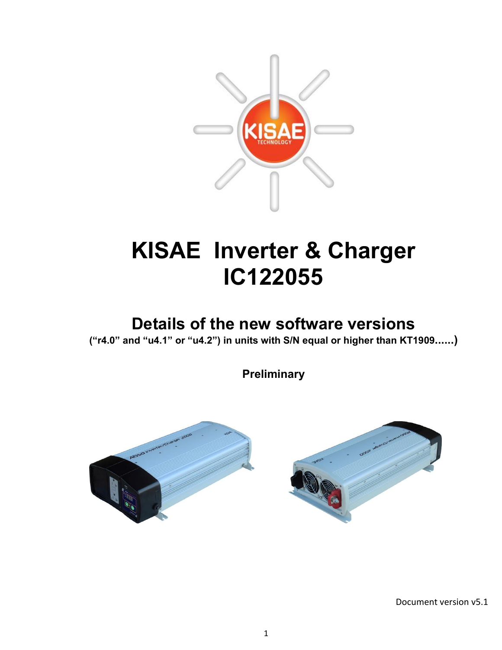

# **KISAE Inverter & Charger IC122055**

## **Details of the new software versions**

**("r4.0" and "u4.1" or "u4.2") in units with S/N equal or higher than KT1909......)**

**Preliminary**



Document version v5.1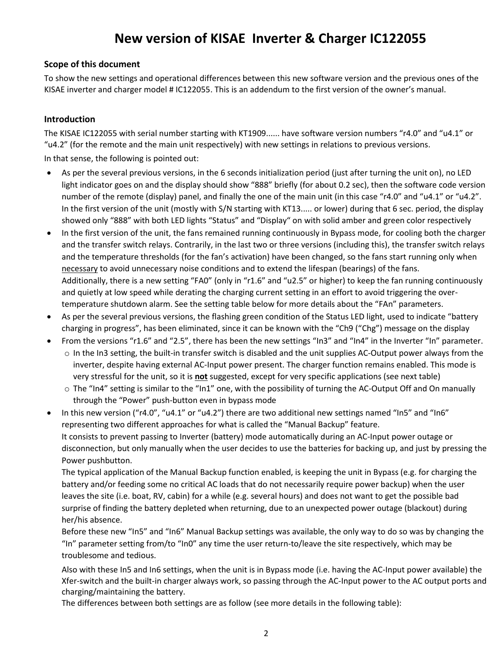### **New version of KISAE Inverter & Charger IC122055**

#### **Scope of this document**

To show the new settings and operational differences between this new software version and the previous ones of the KISAE inverter and charger model # IC122055. This is an addendum to the first version of the owner's manual.

#### **Introduction**

The KISAE IC122055 with serial number starting with KT1909...... have software version numbers "r4.0" and "u4.1" or "u4.2" (for the remote and the main unit respectively) with new settings in relations to previous versions. In that sense, the following is pointed out:

- As per the several previous versions, in the 6 seconds initialization period (just after turning the unit on), no LED light indicator goes on and the display should show "888" briefly (for about 0.2 sec), then the software code version number of the remote (display) panel, and finally the one of the main unit (in this case "r4.0" and "u4.1" or "u4.2". In the first version of the unit (mostly with S/N starting with KT13..... or lower) during that 6 sec. period, the display showed only "888" with both LED lights "Status" and "Display" on with solid amber and green color respectively
- In the first version of the unit, the fans remained running continuously in Bypass mode, for cooling both the charger and the transfer switch relays. Contrarily, in the last two or three versions (including this), the transfer switch relays and the temperature thresholds (for the fan's activation) have been changed, so the fans start running only when necessary to avoid unnecessary noise conditions and to extend the lifespan (bearings) of the fans. Additionally, there is a new setting "FA0" (only in "r1.6" and "u2.5" or higher) to keep the fan running continuously and quietly at low speed while derating the charging current setting in an effort to avoid triggering the overtemperature shutdown alarm. See the setting table below for more details about the "FAn" parameters.
- As per the several previous versions, the flashing green condition of the Status LED light, used to indicate "battery charging in progress", has been eliminated, since it can be known with the "Ch9 ("Chg") message on the display
- From the versions "r1.6" and "2.5", there has been the new settings "In3" and "In4" in the Inverter "In" parameter.
	- $\circ$  In the In3 setting, the built-in transfer switch is disabled and the unit supplies AC-Output power always from the inverter, despite having external AC-Input power present. The charger function remains enabled. This mode is very stressful for the unit, so it is **not** suggested, except for very specific applications (see next table)
	- $\circ$  The "In4" setting is similar to the "In1" one, with the possibility of turning the AC-Output Off and On manually through the "Power" push-button even in bypass mode
- In this new version ("r4.0", "u4.1" or "u4.2") there are two additional new settings named "In5" and "In6" representing two different approaches for what is called the "Manual Backup" feature. It consists to prevent passing to Inverter (battery) mode automatically during an AC-Input power outage or disconnection, but only manually when the user decides to use the batteries for backing up, and just by pressing the Power pushbutton.

The typical application of the Manual Backup function enabled, is keeping the unit in Bypass (e.g. for charging the battery and/or feeding some no critical AC loads that do not necessarily require power backup) when the user leaves the site (i.e. boat, RV, cabin) for a while (e.g. several hours) and does not want to get the possible bad surprise of finding the battery depleted when returning, due to an unexpected power outage (blackout) during her/his absence.

Before these new "In5" and "In6" Manual Backup settings was available, the only way to do so was by changing the "In" parameter setting from/to "In0" any time the user return-to/leave the site respectively, which may be troublesome and tedious.

Also with these In5 and In6 settings, when the unit is in Bypass mode (i.e. having the AC-Input power available) the Xfer-switch and the built-in charger always work, so passing through the AC-Input power to the AC output ports and charging/maintaining the battery.

The differences between both settings are as follow (see more details in the following table):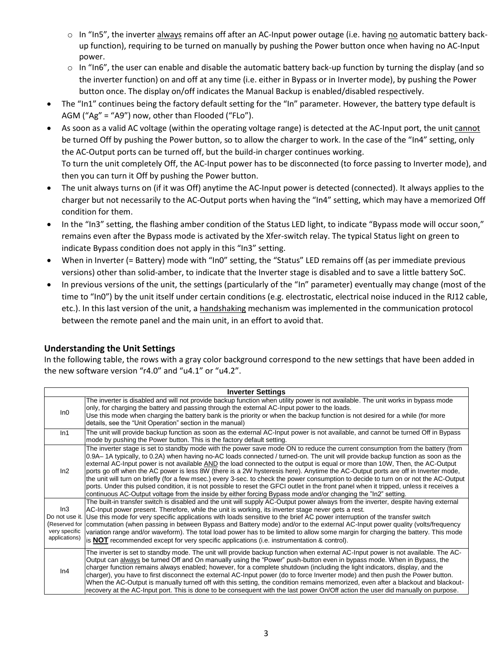- $\circ$  In "In5", the inverter always remains off after an AC-Input power outage (i.e. having no automatic battery backup function), requiring to be turned on manually by pushing the Power button once when having no AC-Input power.
- o In "In6", the user can enable and disable the automatic battery back-up function by turning the display (and so the inverter function) on and off at any time (i.e. either in Bypass or in Inverter mode), by pushing the Power button once. The display on/off indicates the Manual Backup is enabled/disabled respectively.
- The "In1" continues being the factory default setting for the "In" parameter. However, the battery type default is AGM ("Ag" = "A9") now, other than Flooded ("FLo").
- As soon as a valid AC voltage (within the operating voltage range) is detected at the AC-Input port, the unit cannot be turned Off by pushing the Power button, so to allow the charger to work. In the case of the "In4" setting, only the AC-Output ports can be turned off, but the build-in charger continues working. To turn the unit completely Off, the AC-Input power has to be disconnected (to force passing to Inverter mode), and then you can turn it Off by pushing the Power button.
- The unit always turns on (if it was Off) anytime the AC-Input power is detected (connected). It always applies to the charger but not necessarily to the AC-Output ports when having the "In4" setting, which may have a memorized Off condition for them.
- In the "In3" setting, the flashing amber condition of the Status LED light, to indicate "Bypass mode will occur soon," remains even after the Bypass mode is activated by the Xfer-switch relay. The typical Status light on green to indicate Bypass condition does not apply in this "In3" setting.
- When in Inverter (= Battery) mode with "In0" setting, the "Status" LED remains off (as per immediate previous versions) other than solid-amber, to indicate that the Inverter stage is disabled and to save a little battery SoC.
- In previous versions of the unit, the settings (particularly of the "In" parameter) eventually may change (most of the time to "In0") by the unit itself under certain conditions (e.g. electrostatic, electrical noise induced in the RJ12 cable, etc.). In this last version of the unit, a handshaking mechanism was implemented in the communication protocol between the remote panel and the main unit, in an effort to avoid that.

#### **Understanding the Unit Settings**

In the following table, the rows with a gray color background correspond to the new settings that have been added in the new software version "r4.0" and "u4.1" or "u4.2".

| <b>Inverter Settings</b>                               |                                                                                                                                                                                                                                                                                                                                                                                                                                                                                                                                                                                                                                                                                                                                                                                                                                                                                                                                             |  |  |  |  |
|--------------------------------------------------------|---------------------------------------------------------------------------------------------------------------------------------------------------------------------------------------------------------------------------------------------------------------------------------------------------------------------------------------------------------------------------------------------------------------------------------------------------------------------------------------------------------------------------------------------------------------------------------------------------------------------------------------------------------------------------------------------------------------------------------------------------------------------------------------------------------------------------------------------------------------------------------------------------------------------------------------------|--|--|--|--|
| In0                                                    | The inverter is disabled and will not provide backup function when utility power is not available. The unit works in bypass mode<br>only, for charging the battery and passing through the external AC-lnput power to the loads.<br>Use this mode when charging the battery bank is the priority or when the backup function is not desired for a while (for more<br>details, see the "Unit Operation" section in the manual)                                                                                                                                                                                                                                                                                                                                                                                                                                                                                                               |  |  |  |  |
| In1                                                    | The unit will provide backup function as soon as the external AC-Input power is not available, and cannot be turned Off in Bypass<br>mode by pushing the Power button. This is the factory default setting.                                                                                                                                                                                                                                                                                                                                                                                                                                                                                                                                                                                                                                                                                                                                 |  |  |  |  |
| ln2                                                    | The inverter stage is set to standby mode with the power save mode ON to reduce the current consumption from the battery (from<br>0.9A–1A typically, to 0.2A) when having no-AC loads connected / turned-on. The unit will provide backup function as soon as the<br>external AC-Input power is not available AND the load connected to the output is equal or more than 10W, Then, the AC-Output<br>ports go off when the AC power is less 8W (there is a 2W hysteresis here). Anytime the AC-Output ports are off in Inverter mode,<br>the unit will turn on briefly (for a few msec.) every 3-sec. to check the power consumption to decide to turn on or not the AC-Output<br>ports. Under this pulsed condition, it is not possible to reset the GFCI outlet in the front panel when it tripped, unless it receives a<br>continuous AC-Output voltage from the inside by either forcing Bypass mode and/or changing the "In2" setting. |  |  |  |  |
| In3<br>(Reserved for<br>very specific<br>applications) | The built-in transfer switch is disabled and the unit will supply AC-Output power always from the inverter, despite having external<br>AC-Input power present. Therefore, while the unit is working, its inverter stage never gets a rest.<br>Do not use it. Use this mode for very specific applications with loads sensitive to the brief AC power interruption of the transfer switch<br>commutation (when passing in between Bypass and Battery mode) and/or to the external AC-Input power quality (volts/frequency<br>variation range and/or waveform). The total load power has to be limited to allow some margin for charging the battery. This mode<br>is NOT recommended except for very specific applications (i.e. instrumentation & control).                                                                                                                                                                                 |  |  |  |  |
| In4                                                    | The inverter is set to standby mode. The unit will provide backup function when external AC-Input power is not available. The AC-<br>Output can always be turned Off and On manually using the "Power" push-button even in bypass mode. When in Bypass, the<br>charger function remains always enabled; however, for a complete shutdown (including the light indicators, display, and the<br>charger), you have to first disconnect the external AC-Input power (do to force Inverter mode) and then push the Power button.<br>When the AC-Output is manually turned off with this setting, the condition remains memorized, even after a blackout and blackout-<br>recovery at the AC-Input port. This is done to be consequent with the last power On/Off action the user did manually on purpose.                                                                                                                                       |  |  |  |  |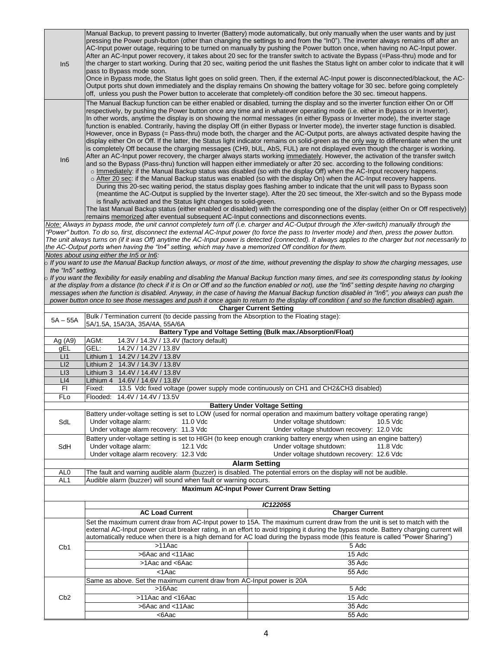| In5                | Manual Backup, to prevent passing to Inverter (Battery) mode automatically, but only manually when the user wants and by just<br>pressing the Power push-button (other than changing the settings to and from the "In0"). The inverter always remains off after an<br>AC-Input power outage, requiring to be turned on manually by pushing the Power button once, when having no AC-Input power.<br>After an AC-Input power recovery, it takes about 20 sec for the transfer switch to activate the Bypass (=Pass-thru) mode and for<br>the charger to start working. During that 20 sec, waiting period the unit flashes the Status light on amber color to indicate that it will<br>pass to Bypass mode soon.<br>Once in Bypass mode, the Status light goes on solid green. Then, if the external AC-Input power is disconnected/blackout, the AC-<br>Output ports shut down immediately and the display remains On showing the battery voltage for 30 sec. before going completely                                                                                                                                                                                                                                                                                                                                                                                                                                                                                                                                                                                                                                                                                                                                                                                                                                                                                                                                                                                                                                                                          |                                                                                                                                                                                                                                                                                                  |  |  |  |  |
|--------------------|----------------------------------------------------------------------------------------------------------------------------------------------------------------------------------------------------------------------------------------------------------------------------------------------------------------------------------------------------------------------------------------------------------------------------------------------------------------------------------------------------------------------------------------------------------------------------------------------------------------------------------------------------------------------------------------------------------------------------------------------------------------------------------------------------------------------------------------------------------------------------------------------------------------------------------------------------------------------------------------------------------------------------------------------------------------------------------------------------------------------------------------------------------------------------------------------------------------------------------------------------------------------------------------------------------------------------------------------------------------------------------------------------------------------------------------------------------------------------------------------------------------------------------------------------------------------------------------------------------------------------------------------------------------------------------------------------------------------------------------------------------------------------------------------------------------------------------------------------------------------------------------------------------------------------------------------------------------------------------------------------------------------------------------------------------------|--------------------------------------------------------------------------------------------------------------------------------------------------------------------------------------------------------------------------------------------------------------------------------------------------|--|--|--|--|
|                    | off, unless you push the Power button to accelerate that completely-off condition before the 30 sec. timeout happens.                                                                                                                                                                                                                                                                                                                                                                                                                                                                                                                                                                                                                                                                                                                                                                                                                                                                                                                                                                                                                                                                                                                                                                                                                                                                                                                                                                                                                                                                                                                                                                                                                                                                                                                                                                                                                                                                                                                                          |                                                                                                                                                                                                                                                                                                  |  |  |  |  |
| In6                | The Manual Backup function can be either enabled or disabled, turning the display and so the inverter function either On or Off<br>respectively, by pushing the Power button once any time and in whatever operating mode (i.e. either in Bypass or in Inverter).<br>In other words, anytime the display is on showing the normal messages (in either Bypass or Inverter mode), the inverter stage<br>function is enabled. Contrarily, having the display Off (in either Bypass or Inverter mode), the inverter stage function is disabled.<br>However, once in Bypass (= Pass-thru) mode both, the charger and the AC-Output ports, are always activated despite having the<br>display either On or Off. If the latter, the Status light indicator remains on solid-green as the only way to differentiate when the unit<br>is completely Off because the charging messages (CH9, bUL, AbS, FUL) are not displayed even though the charger is working.<br>After an AC-Input power recovery, the charger always starts working immediately. However, the activation of the transfer switch<br>and so the Bypass (Pass-thru) function will happen either immediately or after 20 sec. according to the following conditions:<br>o Immediately: if the Manual Backup status was disabled (so with the display Off) when the AC-Input recovery happens.<br>$\circ$ After 20 sec: if the Manual Backup status was enabled (so with the display On) when the AC-Input recovery happens.<br>During this 20-sec waiting period, the status display goes flashing amber to indicate that the unit will pass to Bypass soon<br>(meantime the AC-Output is supplied by the Inverter stage). After the 20 sec timeout, the Xfer-switch and so the Bypass mode<br>is finally activated and the Status light changes to solid-green.<br>The last Manual Backup status (either enabled or disabled) with the corresponding one of the display (either On or Off respectively)<br>remains memorized after eventual subsequent AC-Input connections and disconnections events. |                                                                                                                                                                                                                                                                                                  |  |  |  |  |
|                    |                                                                                                                                                                                                                                                                                                                                                                                                                                                                                                                                                                                                                                                                                                                                                                                                                                                                                                                                                                                                                                                                                                                                                                                                                                                                                                                                                                                                                                                                                                                                                                                                                                                                                                                                                                                                                                                                                                                                                                                                                                                                | Note: Always in bypass mode, the unit cannot completely turn off (i.e. charger and AC-Output through the Xfer-switch) manually through the                                                                                                                                                       |  |  |  |  |
|                    |                                                                                                                                                                                                                                                                                                                                                                                                                                                                                                                                                                                                                                                                                                                                                                                                                                                                                                                                                                                                                                                                                                                                                                                                                                                                                                                                                                                                                                                                                                                                                                                                                                                                                                                                                                                                                                                                                                                                                                                                                                                                | "Power" button. To do so, first, disconnect the external AC-Input power (to force the pass to Inverter mode) and then, press the power button.                                                                                                                                                   |  |  |  |  |
|                    | the AC-Output ports when having the "In4" setting, which may have a memorized Off condition for them.                                                                                                                                                                                                                                                                                                                                                                                                                                                                                                                                                                                                                                                                                                                                                                                                                                                                                                                                                                                                                                                                                                                                                                                                                                                                                                                                                                                                                                                                                                                                                                                                                                                                                                                                                                                                                                                                                                                                                          | The unit always turns on (if it was Off) anytime the AC-Input power is detected (connected). It always applies to the charger but not necessarily to                                                                                                                                             |  |  |  |  |
|                    | Notes about using either the In5 or In6:                                                                                                                                                                                                                                                                                                                                                                                                                                                                                                                                                                                                                                                                                                                                                                                                                                                                                                                                                                                                                                                                                                                                                                                                                                                                                                                                                                                                                                                                                                                                                                                                                                                                                                                                                                                                                                                                                                                                                                                                                       |                                                                                                                                                                                                                                                                                                  |  |  |  |  |
|                    |                                                                                                                                                                                                                                                                                                                                                                                                                                                                                                                                                                                                                                                                                                                                                                                                                                                                                                                                                                                                                                                                                                                                                                                                                                                                                                                                                                                                                                                                                                                                                                                                                                                                                                                                                                                                                                                                                                                                                                                                                                                                | $\overline{\circ}$ If you want to use the Manual Backup function always, or most of the time, without preventing the display to show the charging messages, use                                                                                                                                  |  |  |  |  |
| the "In5" setting. |                                                                                                                                                                                                                                                                                                                                                                                                                                                                                                                                                                                                                                                                                                                                                                                                                                                                                                                                                                                                                                                                                                                                                                                                                                                                                                                                                                                                                                                                                                                                                                                                                                                                                                                                                                                                                                                                                                                                                                                                                                                                |                                                                                                                                                                                                                                                                                                  |  |  |  |  |
|                    |                                                                                                                                                                                                                                                                                                                                                                                                                                                                                                                                                                                                                                                                                                                                                                                                                                                                                                                                                                                                                                                                                                                                                                                                                                                                                                                                                                                                                                                                                                                                                                                                                                                                                                                                                                                                                                                                                                                                                                                                                                                                | $\circ$ If you want the flexibility for easily enabling and disabling the Manual Backup function many times, and see its corresponding status by looking                                                                                                                                         |  |  |  |  |
|                    |                                                                                                                                                                                                                                                                                                                                                                                                                                                                                                                                                                                                                                                                                                                                                                                                                                                                                                                                                                                                                                                                                                                                                                                                                                                                                                                                                                                                                                                                                                                                                                                                                                                                                                                                                                                                                                                                                                                                                                                                                                                                | at the display from a distance (to check if it is On or Off and so the function enabled or not), use the "In6" setting despite having no charging<br>messages when the function is disabled. Anyway, in the case of having the Manual Backup function disabled in "In6", you always can push the |  |  |  |  |
|                    |                                                                                                                                                                                                                                                                                                                                                                                                                                                                                                                                                                                                                                                                                                                                                                                                                                                                                                                                                                                                                                                                                                                                                                                                                                                                                                                                                                                                                                                                                                                                                                                                                                                                                                                                                                                                                                                                                                                                                                                                                                                                | power button once to see those messages and push it once again to return to the display off condition (and so the function disabled) again.                                                                                                                                                      |  |  |  |  |
|                    |                                                                                                                                                                                                                                                                                                                                                                                                                                                                                                                                                                                                                                                                                                                                                                                                                                                                                                                                                                                                                                                                                                                                                                                                                                                                                                                                                                                                                                                                                                                                                                                                                                                                                                                                                                                                                                                                                                                                                                                                                                                                | <b>Charger Current Setting</b>                                                                                                                                                                                                                                                                   |  |  |  |  |
| $5A - 55A$         | Bulk / Termination current (to decide passing from the Absorption to the Floating stage):                                                                                                                                                                                                                                                                                                                                                                                                                                                                                                                                                                                                                                                                                                                                                                                                                                                                                                                                                                                                                                                                                                                                                                                                                                                                                                                                                                                                                                                                                                                                                                                                                                                                                                                                                                                                                                                                                                                                                                      |                                                                                                                                                                                                                                                                                                  |  |  |  |  |
|                    | 5A/1.5A, 15A/3A, 35A/4A, 55A/6A                                                                                                                                                                                                                                                                                                                                                                                                                                                                                                                                                                                                                                                                                                                                                                                                                                                                                                                                                                                                                                                                                                                                                                                                                                                                                                                                                                                                                                                                                                                                                                                                                                                                                                                                                                                                                                                                                                                                                                                                                                | Battery Type and Voltage Setting (Bulk max./Absorption/Float)                                                                                                                                                                                                                                    |  |  |  |  |
| Ag $(A9)$          | AGM:<br>14.3V / 14.3V / 13.4V (factory default)                                                                                                                                                                                                                                                                                                                                                                                                                                                                                                                                                                                                                                                                                                                                                                                                                                                                                                                                                                                                                                                                                                                                                                                                                                                                                                                                                                                                                                                                                                                                                                                                                                                                                                                                                                                                                                                                                                                                                                                                                |                                                                                                                                                                                                                                                                                                  |  |  |  |  |
| gEL                | 14.2V / 14.2V / 13.8V<br>GEL:                                                                                                                                                                                                                                                                                                                                                                                                                                                                                                                                                                                                                                                                                                                                                                                                                                                                                                                                                                                                                                                                                                                                                                                                                                                                                                                                                                                                                                                                                                                                                                                                                                                                                                                                                                                                                                                                                                                                                                                                                                  |                                                                                                                                                                                                                                                                                                  |  |  |  |  |
| L11                | 14.2V / 14.2V / 13.8V<br>Lithium 1                                                                                                                                                                                                                                                                                                                                                                                                                                                                                                                                                                                                                                                                                                                                                                                                                                                                                                                                                                                                                                                                                                                                                                                                                                                                                                                                                                                                                                                                                                                                                                                                                                                                                                                                                                                                                                                                                                                                                                                                                             |                                                                                                                                                                                                                                                                                                  |  |  |  |  |
| LI2                | Lithium 2  14.3V / 14.3V / 13.8V                                                                                                                                                                                                                                                                                                                                                                                                                                                                                                                                                                                                                                                                                                                                                                                                                                                                                                                                                                                                                                                                                                                                                                                                                                                                                                                                                                                                                                                                                                                                                                                                                                                                                                                                                                                                                                                                                                                                                                                                                               |                                                                                                                                                                                                                                                                                                  |  |  |  |  |
| LI3<br>LI4         | 14.4V / 14.4V / 13.8V<br>Lithium 3<br>14.6V / 14.6V / 13.8V<br>Lithium 4                                                                                                                                                                                                                                                                                                                                                                                                                                                                                                                                                                                                                                                                                                                                                                                                                                                                                                                                                                                                                                                                                                                                                                                                                                                                                                                                                                                                                                                                                                                                                                                                                                                                                                                                                                                                                                                                                                                                                                                       |                                                                                                                                                                                                                                                                                                  |  |  |  |  |
| FI.                | Fixed:                                                                                                                                                                                                                                                                                                                                                                                                                                                                                                                                                                                                                                                                                                                                                                                                                                                                                                                                                                                                                                                                                                                                                                                                                                                                                                                                                                                                                                                                                                                                                                                                                                                                                                                                                                                                                                                                                                                                                                                                                                                         | 13.5 Vdc fixed voltage (power supply mode continuously on CH1 and CH2&CH3 disabled)                                                                                                                                                                                                              |  |  |  |  |
| <b>FLo</b>         | Flooded: 14.4V / 14.4V / 13.5V                                                                                                                                                                                                                                                                                                                                                                                                                                                                                                                                                                                                                                                                                                                                                                                                                                                                                                                                                                                                                                                                                                                                                                                                                                                                                                                                                                                                                                                                                                                                                                                                                                                                                                                                                                                                                                                                                                                                                                                                                                 |                                                                                                                                                                                                                                                                                                  |  |  |  |  |
|                    |                                                                                                                                                                                                                                                                                                                                                                                                                                                                                                                                                                                                                                                                                                                                                                                                                                                                                                                                                                                                                                                                                                                                                                                                                                                                                                                                                                                                                                                                                                                                                                                                                                                                                                                                                                                                                                                                                                                                                                                                                                                                | <b>Battery Under Voltage Setting</b>                                                                                                                                                                                                                                                             |  |  |  |  |
|                    | Battery under-voltage setting is set to LOW (used for normal operation and maximum battery voltage operating range)                                                                                                                                                                                                                                                                                                                                                                                                                                                                                                                                                                                                                                                                                                                                                                                                                                                                                                                                                                                                                                                                                                                                                                                                                                                                                                                                                                                                                                                                                                                                                                                                                                                                                                                                                                                                                                                                                                                                            |                                                                                                                                                                                                                                                                                                  |  |  |  |  |
| SdL                | Under voltage alarm:<br>11.0 Vdc                                                                                                                                                                                                                                                                                                                                                                                                                                                                                                                                                                                                                                                                                                                                                                                                                                                                                                                                                                                                                                                                                                                                                                                                                                                                                                                                                                                                                                                                                                                                                                                                                                                                                                                                                                                                                                                                                                                                                                                                                               | Under voltage shutdown:<br>10.5 Vdc                                                                                                                                                                                                                                                              |  |  |  |  |
|                    | Under voltage alarm recovery: 11.3 Vdc                                                                                                                                                                                                                                                                                                                                                                                                                                                                                                                                                                                                                                                                                                                                                                                                                                                                                                                                                                                                                                                                                                                                                                                                                                                                                                                                                                                                                                                                                                                                                                                                                                                                                                                                                                                                                                                                                                                                                                                                                         | Under voltage shutdown recovery: 12.0 Vdc                                                                                                                                                                                                                                                        |  |  |  |  |
|                    |                                                                                                                                                                                                                                                                                                                                                                                                                                                                                                                                                                                                                                                                                                                                                                                                                                                                                                                                                                                                                                                                                                                                                                                                                                                                                                                                                                                                                                                                                                                                                                                                                                                                                                                                                                                                                                                                                                                                                                                                                                                                | Battery under-voltage setting is set to HIGH (to keep enough cranking battery energy when using an engine battery)                                                                                                                                                                               |  |  |  |  |
| SdH                | Under voltage shutdown:<br>Under voltage alarm:<br>12.1 Vdc<br>11.8 Vdc<br>Under voltage shutdown recovery: 12.6 Vdc<br>Under voltage alarm recovery: 12.3 Vdc                                                                                                                                                                                                                                                                                                                                                                                                                                                                                                                                                                                                                                                                                                                                                                                                                                                                                                                                                                                                                                                                                                                                                                                                                                                                                                                                                                                                                                                                                                                                                                                                                                                                                                                                                                                                                                                                                                 |                                                                                                                                                                                                                                                                                                  |  |  |  |  |
|                    | <b>Alarm Setting</b>                                                                                                                                                                                                                                                                                                                                                                                                                                                                                                                                                                                                                                                                                                                                                                                                                                                                                                                                                                                                                                                                                                                                                                                                                                                                                                                                                                                                                                                                                                                                                                                                                                                                                                                                                                                                                                                                                                                                                                                                                                           |                                                                                                                                                                                                                                                                                                  |  |  |  |  |
| AL <sub>0</sub>    | The fault and warning audible alarm (buzzer) is disabled. The potential errors on the display will not be audible.                                                                                                                                                                                                                                                                                                                                                                                                                                                                                                                                                                                                                                                                                                                                                                                                                                                                                                                                                                                                                                                                                                                                                                                                                                                                                                                                                                                                                                                                                                                                                                                                                                                                                                                                                                                                                                                                                                                                             |                                                                                                                                                                                                                                                                                                  |  |  |  |  |
| AL <sub>1</sub>    | Audible alarm (buzzer) will sound when fault or warning occurs.                                                                                                                                                                                                                                                                                                                                                                                                                                                                                                                                                                                                                                                                                                                                                                                                                                                                                                                                                                                                                                                                                                                                                                                                                                                                                                                                                                                                                                                                                                                                                                                                                                                                                                                                                                                                                                                                                                                                                                                                |                                                                                                                                                                                                                                                                                                  |  |  |  |  |
|                    |                                                                                                                                                                                                                                                                                                                                                                                                                                                                                                                                                                                                                                                                                                                                                                                                                                                                                                                                                                                                                                                                                                                                                                                                                                                                                                                                                                                                                                                                                                                                                                                                                                                                                                                                                                                                                                                                                                                                                                                                                                                                | <b>Maximum AC-Input Power Current Draw Setting</b>                                                                                                                                                                                                                                               |  |  |  |  |
|                    |                                                                                                                                                                                                                                                                                                                                                                                                                                                                                                                                                                                                                                                                                                                                                                                                                                                                                                                                                                                                                                                                                                                                                                                                                                                                                                                                                                                                                                                                                                                                                                                                                                                                                                                                                                                                                                                                                                                                                                                                                                                                |                                                                                                                                                                                                                                                                                                  |  |  |  |  |
|                    |                                                                                                                                                                                                                                                                                                                                                                                                                                                                                                                                                                                                                                                                                                                                                                                                                                                                                                                                                                                                                                                                                                                                                                                                                                                                                                                                                                                                                                                                                                                                                                                                                                                                                                                                                                                                                                                                                                                                                                                                                                                                | IC122055                                                                                                                                                                                                                                                                                         |  |  |  |  |
|                    | <b>AC Load Current</b>                                                                                                                                                                                                                                                                                                                                                                                                                                                                                                                                                                                                                                                                                                                                                                                                                                                                                                                                                                                                                                                                                                                                                                                                                                                                                                                                                                                                                                                                                                                                                                                                                                                                                                                                                                                                                                                                                                                                                                                                                                         | <b>Charger Current</b>                                                                                                                                                                                                                                                                           |  |  |  |  |
|                    |                                                                                                                                                                                                                                                                                                                                                                                                                                                                                                                                                                                                                                                                                                                                                                                                                                                                                                                                                                                                                                                                                                                                                                                                                                                                                                                                                                                                                                                                                                                                                                                                                                                                                                                                                                                                                                                                                                                                                                                                                                                                | Set the maximum current draw from AC-Input power to 15A. The maximum current draw from the unit is set to match with the<br>external AC-Input power circuit breaker rating, in an effort to avoid tripping it during the bypass mode. Battery charging current will                              |  |  |  |  |
| C <sub>b</sub> 1   |                                                                                                                                                                                                                                                                                                                                                                                                                                                                                                                                                                                                                                                                                                                                                                                                                                                                                                                                                                                                                                                                                                                                                                                                                                                                                                                                                                                                                                                                                                                                                                                                                                                                                                                                                                                                                                                                                                                                                                                                                                                                | automatically reduce when there is a high demand for AC load during the bypass mode (this feature is called "Power Sharing")                                                                                                                                                                     |  |  |  |  |
|                    | >11Aac                                                                                                                                                                                                                                                                                                                                                                                                                                                                                                                                                                                                                                                                                                                                                                                                                                                                                                                                                                                                                                                                                                                                                                                                                                                                                                                                                                                                                                                                                                                                                                                                                                                                                                                                                                                                                                                                                                                                                                                                                                                         | 5 Adc                                                                                                                                                                                                                                                                                            |  |  |  |  |
|                    | >6Aac and <11Aac                                                                                                                                                                                                                                                                                                                                                                                                                                                                                                                                                                                                                                                                                                                                                                                                                                                                                                                                                                                                                                                                                                                                                                                                                                                                                                                                                                                                                                                                                                                                                                                                                                                                                                                                                                                                                                                                                                                                                                                                                                               | 15 Adc                                                                                                                                                                                                                                                                                           |  |  |  |  |
|                    | >1Aac and <6Aac                                                                                                                                                                                                                                                                                                                                                                                                                                                                                                                                                                                                                                                                                                                                                                                                                                                                                                                                                                                                                                                                                                                                                                                                                                                                                                                                                                                                                                                                                                                                                                                                                                                                                                                                                                                                                                                                                                                                                                                                                                                | $35$ Adc                                                                                                                                                                                                                                                                                         |  |  |  |  |
|                    | <1Aac                                                                                                                                                                                                                                                                                                                                                                                                                                                                                                                                                                                                                                                                                                                                                                                                                                                                                                                                                                                                                                                                                                                                                                                                                                                                                                                                                                                                                                                                                                                                                                                                                                                                                                                                                                                                                                                                                                                                                                                                                                                          | 55 Adc                                                                                                                                                                                                                                                                                           |  |  |  |  |
|                    | Same as above. Set the maximum current draw from AC-Input power is 20A                                                                                                                                                                                                                                                                                                                                                                                                                                                                                                                                                                                                                                                                                                                                                                                                                                                                                                                                                                                                                                                                                                                                                                                                                                                                                                                                                                                                                                                                                                                                                                                                                                                                                                                                                                                                                                                                                                                                                                                         |                                                                                                                                                                                                                                                                                                  |  |  |  |  |
| Cb2                | >16Aac                                                                                                                                                                                                                                                                                                                                                                                                                                                                                                                                                                                                                                                                                                                                                                                                                                                                                                                                                                                                                                                                                                                                                                                                                                                                                                                                                                                                                                                                                                                                                                                                                                                                                                                                                                                                                                                                                                                                                                                                                                                         | 5 Adc                                                                                                                                                                                                                                                                                            |  |  |  |  |
|                    | >11Aac and <16Aac                                                                                                                                                                                                                                                                                                                                                                                                                                                                                                                                                                                                                                                                                                                                                                                                                                                                                                                                                                                                                                                                                                                                                                                                                                                                                                                                                                                                                                                                                                                                                                                                                                                                                                                                                                                                                                                                                                                                                                                                                                              | 15 Adc                                                                                                                                                                                                                                                                                           |  |  |  |  |
|                    | >6Aac and <11Aac                                                                                                                                                                                                                                                                                                                                                                                                                                                                                                                                                                                                                                                                                                                                                                                                                                                                                                                                                                                                                                                                                                                                                                                                                                                                                                                                                                                                                                                                                                                                                                                                                                                                                                                                                                                                                                                                                                                                                                                                                                               | 35 Adc                                                                                                                                                                                                                                                                                           |  |  |  |  |
|                    | <6Aac                                                                                                                                                                                                                                                                                                                                                                                                                                                                                                                                                                                                                                                                                                                                                                                                                                                                                                                                                                                                                                                                                                                                                                                                                                                                                                                                                                                                                                                                                                                                                                                                                                                                                                                                                                                                                                                                                                                                                                                                                                                          | 55 Adc                                                                                                                                                                                                                                                                                           |  |  |  |  |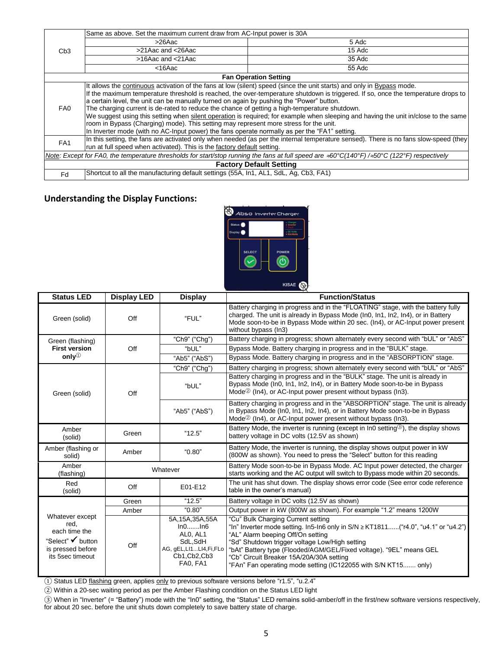|                                                                                                                                                                                            | Same as above. Set the maximum current draw from AC-Input power is 30A                                                              |                                                                                                                                      |  |  |  |  |
|--------------------------------------------------------------------------------------------------------------------------------------------------------------------------------------------|-------------------------------------------------------------------------------------------------------------------------------------|--------------------------------------------------------------------------------------------------------------------------------------|--|--|--|--|
| C <sub>b</sub> 3                                                                                                                                                                           | >26Aac                                                                                                                              | 5 Adc                                                                                                                                |  |  |  |  |
|                                                                                                                                                                                            | >21Aac and <26Aac                                                                                                                   | 15 Adc                                                                                                                               |  |  |  |  |
|                                                                                                                                                                                            | >16Aac and <21Aac                                                                                                                   | 35 Adc                                                                                                                               |  |  |  |  |
|                                                                                                                                                                                            | $<$ 16 $Aac$                                                                                                                        | 55 Adc                                                                                                                               |  |  |  |  |
| <b>Fan Operation Setting</b>                                                                                                                                                               |                                                                                                                                     |                                                                                                                                      |  |  |  |  |
|                                                                                                                                                                                            | It allows the continuous activation of the fans at low (silent) speed (since the unit starts) and only in Bypass mode.              |                                                                                                                                      |  |  |  |  |
| FA0                                                                                                                                                                                        | If the maximum temperature threshold is reached, the over-temperature shutdown is triggered. If so, once the temperature drops to   |                                                                                                                                      |  |  |  |  |
|                                                                                                                                                                                            | a certain level, the unit can be manually turned on again by pushing the "Power" button.                                            |                                                                                                                                      |  |  |  |  |
|                                                                                                                                                                                            | The charging current is de-rated to reduce the chance of getting a high-temperature shutdown.                                       |                                                                                                                                      |  |  |  |  |
|                                                                                                                                                                                            | We suggest using this setting when silent operation is required; for example when sleeping and having the unit in/close to the same |                                                                                                                                      |  |  |  |  |
|                                                                                                                                                                                            | room in Bypass (Charging) mode). This setting may represent more stress for the unit.                                               |                                                                                                                                      |  |  |  |  |
|                                                                                                                                                                                            | In Inverter mode (with no AC-Input power) the fans operate normally as per the "FA1" setting.                                       |                                                                                                                                      |  |  |  |  |
| FA <sub>1</sub>                                                                                                                                                                            |                                                                                                                                     | In this setting, the fans are activated only when needed (as per the internal temperature sensed). There is no fans slow-speed (they |  |  |  |  |
|                                                                                                                                                                                            | run at full speed when activated). This is the factory default setting.                                                             |                                                                                                                                      |  |  |  |  |
| Note: Except for FA0, the temperature thresholds for start/stop running the fans at full speed are $\approx 60^{\circ}C(140^{\circ}F)/\approx 50^{\circ}C$ (122 $^{\circ}F$ ) respectively |                                                                                                                                     |                                                                                                                                      |  |  |  |  |
| <b>Factory Default Setting</b>                                                                                                                                                             |                                                                                                                                     |                                                                                                                                      |  |  |  |  |
| Fd                                                                                                                                                                                         | Shortcut to all the manufacturing default settings (55A, In1, AL1, SdL, Ag, Cb3, FA1)                                               |                                                                                                                                      |  |  |  |  |

#### **Understanding the Display Functions:**



| <b>Status LED</b>                                                                                      | <b>Display LED</b> | <b>Display</b>                                                                                           | <b>Function/Status</b>                                                                                                                                                                                                                                                                                                                                                                                     |
|--------------------------------------------------------------------------------------------------------|--------------------|----------------------------------------------------------------------------------------------------------|------------------------------------------------------------------------------------------------------------------------------------------------------------------------------------------------------------------------------------------------------------------------------------------------------------------------------------------------------------------------------------------------------------|
| Green (solid)                                                                                          | Off                | "FUL"                                                                                                    | Battery charging in progress and in the "FLOATING" stage, with the battery fully<br>charged. The unit is already in Bypass Mode (In0, In1, In2, In4), or in Battery<br>Mode soon-to-be in Bypass Mode within 20 sec. (In4), or AC-Input power present<br>without bypass (In3)                                                                                                                              |
| Green (flashing)                                                                                       |                    | "Ch9" ("Chg")                                                                                            | Battery charging in progress; shown alternately every second with "bUL" or "AbS"                                                                                                                                                                                                                                                                                                                           |
| <b>First version</b>                                                                                   | Off                | "bUL"                                                                                                    | Bypass Mode. Battery charging in progress and in the "BULK" stage.                                                                                                                                                                                                                                                                                                                                         |
| only $\mathbb{O}$                                                                                      |                    | "Ab5" ("AbS")                                                                                            | Bypass Mode. Battery charging in progress and in the "ABSORPTION" stage.                                                                                                                                                                                                                                                                                                                                   |
|                                                                                                        | Off                | "Ch9" ("Chg")                                                                                            | Battery charging in progress; shown alternately every second with "bUL" or "AbS"                                                                                                                                                                                                                                                                                                                           |
| Green (solid)                                                                                          |                    | "bUL"                                                                                                    | Battery charging in progress and in the "BULK" stage. The unit is already in<br>Bypass Mode (In0, In1, In2, In4), or in Battery Mode soon-to-be in Bypass<br>Mode <sup><math>\circledcirc</math></sup> (In4), or AC-Input power present without bypass (In3).                                                                                                                                              |
|                                                                                                        |                    | "Ab5" ("AbS")                                                                                            | Battery charging in progress and in the "ABSORPTION" stage. The unit is already<br>in Bypass Mode (In0, In1, In2, In4), or in Battery Mode soon-to-be in Bypass<br>Mode <sup><math>\circledcirc</math></sup> (In4), or AC-Input power present without bypass (In3).                                                                                                                                        |
| Amber<br>(solid)                                                                                       | Green              | "12.5"                                                                                                   | Battery Mode, the inverter is running (except in In0 setting <sup>3</sup> ), the display shows<br>battery voltage in DC volts (12.5V as shown)                                                                                                                                                                                                                                                             |
| Amber (flashing or<br>solid)                                                                           | Amber              | "0.80"                                                                                                   | Battery Mode, the inverter is running, the display shows output power in kW<br>(800W as shown). You need to press the "Select" button for this reading                                                                                                                                                                                                                                                     |
| Amber<br>(flashing)                                                                                    | Whatever           |                                                                                                          | Battery Mode soon-to-be in Bypass Mode. AC Input power detected, the charger<br>starts working and the AC output will switch to Bypass mode within 20 seconds.                                                                                                                                                                                                                                             |
| Red<br>(solid)                                                                                         | Off                | E01-E12                                                                                                  | The unit has shut down. The display shows error code (See error code reference<br>table in the owner's manual)                                                                                                                                                                                                                                                                                             |
|                                                                                                        | Green              | "12.5"                                                                                                   | Battery voltage in DC volts (12.5V as shown)                                                                                                                                                                                                                                                                                                                                                               |
|                                                                                                        | Amber              | "0.80"                                                                                                   | Output power in kW (800W as shown). For example "1.2" means 1200W                                                                                                                                                                                                                                                                                                                                          |
| Whatever except<br>red,<br>each time the<br>"Select" V button<br>is pressed before<br>its 5sec timeout | Off                | 5A, 15A, 35A, 55A<br>In0In6<br>ALO. AL1<br>SdL,SdH<br>AG, gEL,LI1LI4,Fi,FLo<br>Cb1, Cb2, Cb3<br>FA0, FA1 | "Cu" Bulk Charging Current setting<br>"In" Inverter mode setting. In5-In6 only in $S/N \geq KT1811$ ("r4.0", "u4.1" or "u4.2")<br>"AL" Alarm beeping Off/On setting<br>"Sd" Shutdown trigger voltage Low/High setting<br>"bAt" Battery type (Flooded/AGM/GEL/Fixed voltage). "9EL" means GEL<br>"Cb" Circuit Breaker 15A/20A/30A setting<br>"FAn" Fan operating mode setting (IC122055 with S/N KT15 only) |

① Status LED flashing green, applies only to previous software versions before "r1.5", "u.2.4"

② Within a 20-sec waiting period as per the Amber Flashing condition on the Status LED light

③ When in "Inverter" (= "Battery") mode with the "In0" setting, the "Status" LED remains solid-amber/off in the first/new software versions respectively, for about 20 sec. before the unit shuts down completely to save battery state of charge.